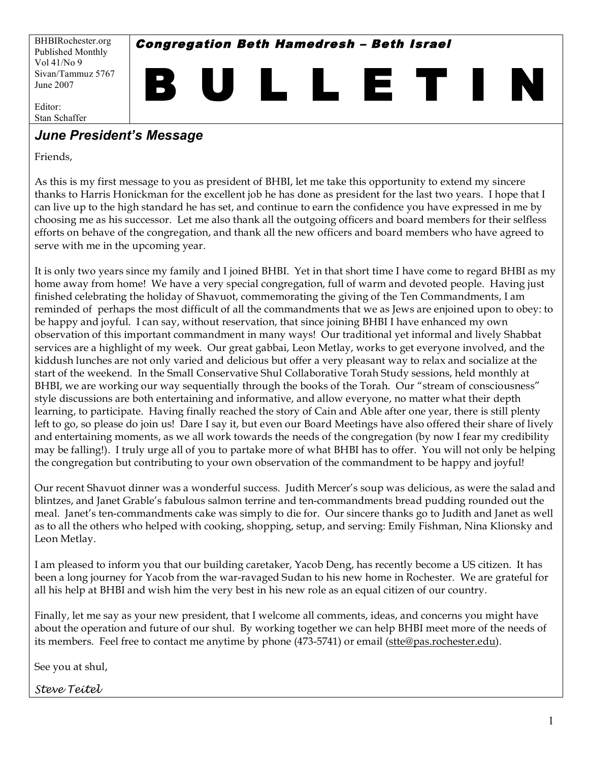BHBIRochester.org Published Monthly Vol 41/No 9 Sivan/Tammuz 5767 June 2007

Congregation Beth Hamedresh – Beth Israel

B U L L E T I N

Editor: Stan Schaffer

## *June President's Message*

Friends,

As this is my first message to you as president of BHBI, let me take this opportunity to extend my sincere thanks to Harris Honickman for the excellent job he has done as president for the last two years. I hope that I can live up to the high standard he has set, and continue to earn the confidence you have expressed in me by choosing me as his successor. Let me also thank all the outgoing officers and board members for their selfless efforts on behave of the congregation, and thank all the new officers and board members who have agreed to serve with me in the upcoming year.

It is only two years since my family and I joined BHBI. Yet in that short time I have come to regard BHBI as my home away from home! We have a very special congregation, full of warm and devoted people. Having just finished celebrating the holiday of Shavuot, commemorating the giving of the Ten Commandments, I am reminded of perhaps the most difficult of all the commandments that we as Jews are enjoined upon to obey: to be happy and joyful. I can say, without reservation, that since joining BHBI I have enhanced my own observation of this important commandment in many ways! Our traditional yet informal and lively Shabbat services are a highlight of my week. Our great gabbai, Leon Metlay, works to get everyone involved, and the kiddush lunches are not only varied and delicious but offer a very pleasant way to relax and socialize at the start of the weekend. In the Small Conservative Shul Collaborative Torah Study sessions, held monthly at BHBI, we are working our way sequentially through the books of the Torah. Our "stream of consciousness" style discussions are both entertaining and informative, and allow everyone, no matter what their depth learning, to participate. Having finally reached the story of Cain and Able after one year, there is still plenty left to go, so please do join us! Dare I say it, but even our Board Meetings have also offered their share of lively and entertaining moments, as we all work towards the needs of the congregation (by now I fear my credibility may be falling!). I truly urge all of you to partake more of what BHBI has to offer. You will not only be helping the congregation but contributing to your own observation of the commandment to be happy and joyful!

Our recent Shavuot dinner was a wonderful success. Judith Mercer's soup was delicious, as were the salad and blintzes, and Janet Grable's fabulous salmon terrine and ten-commandments bread pudding rounded out the meal. Janet's ten-commandments cake was simply to die for. Our sincere thanks go to Judith and Janet as well as to all the others who helped with cooking, shopping, setup, and serving: Emily Fishman, Nina Klionsky and Leon Metlay.

I am pleased to inform you that our building caretaker, Yacob Deng, has recently become a US citizen. It has been a long journey for Yacob from the war-ravaged Sudan to his new home in Rochester. We are grateful for all his help at BHBI and wish him the very best in his new role as an equal citizen of our country.

Finally, let me say as your new president, that I welcome all comments, ideas, and concerns you might have about the operation and future of our shul. By working together we can help BHBI meet more of the needs of its members. Feel free to contact me anytime by phone (473-5741) or email (stte@pas.rochester.edu).

See you at shul,

*Steve Teitel*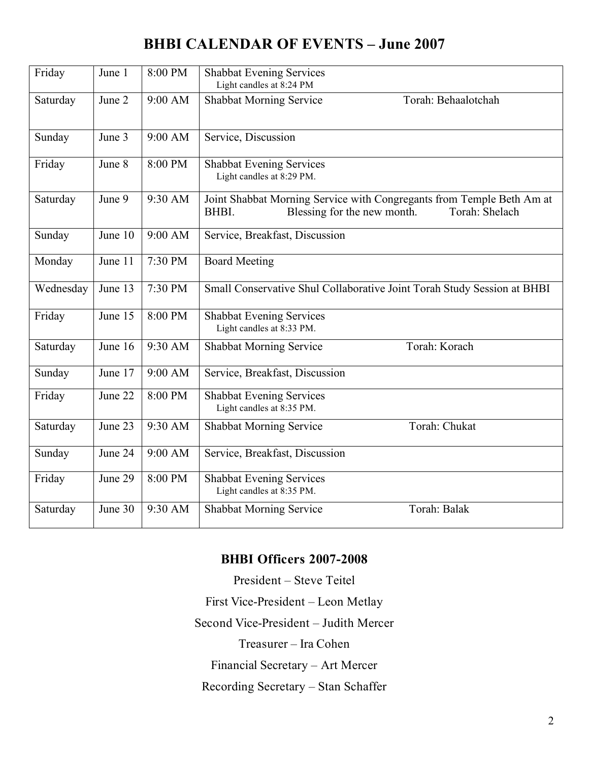# **BHBI CALENDAR OF EVENTS – June 2007**

| Friday    | June 1  | 8:00 PM | <b>Shabbat Evening Services</b><br>Light candles at 8:24 PM                                                                     |  |  |  |  |
|-----------|---------|---------|---------------------------------------------------------------------------------------------------------------------------------|--|--|--|--|
| Saturday  | June 2  | 9:00 AM | <b>Shabbat Morning Service</b><br>Torah: Behaalotchah                                                                           |  |  |  |  |
| Sunday    | June 3  | 9:00 AM | Service, Discussion                                                                                                             |  |  |  |  |
| Friday    | June 8  | 8:00 PM | <b>Shabbat Evening Services</b><br>Light candles at 8:29 PM.                                                                    |  |  |  |  |
| Saturday  | June 9  | 9:30 AM | Joint Shabbat Morning Service with Congregants from Temple Beth Am at<br>Blessing for the new month.<br>Torah: Shelach<br>BHBI. |  |  |  |  |
| Sunday    | June 10 | 9:00 AM | Service, Breakfast, Discussion                                                                                                  |  |  |  |  |
| Monday    | June 11 | 7:30 PM | <b>Board Meeting</b>                                                                                                            |  |  |  |  |
| Wednesday | June 13 | 7:30 PM | Small Conservative Shul Collaborative Joint Torah Study Session at BHBI                                                         |  |  |  |  |
| Friday    | June 15 | 8:00 PM | <b>Shabbat Evening Services</b><br>Light candles at 8:33 PM.                                                                    |  |  |  |  |
| Saturday  | June 16 | 9:30 AM | Torah: Korach<br><b>Shabbat Morning Service</b>                                                                                 |  |  |  |  |
| Sunday    | June 17 | 9:00 AM | Service, Breakfast, Discussion                                                                                                  |  |  |  |  |
| Friday    | June 22 | 8:00 PM | <b>Shabbat Evening Services</b><br>Light candles at 8:35 PM.                                                                    |  |  |  |  |
| Saturday  | June 23 | 9:30 AM | Torah: Chukat<br><b>Shabbat Morning Service</b>                                                                                 |  |  |  |  |
| Sunday    | June 24 | 9:00 AM | Service, Breakfast, Discussion                                                                                                  |  |  |  |  |
| Friday    | June 29 | 8:00 PM | <b>Shabbat Evening Services</b><br>Light candles at 8:35 PM.                                                                    |  |  |  |  |
| Saturday  | June 30 | 9:30 AM | Torah: Balak<br><b>Shabbat Morning Service</b>                                                                                  |  |  |  |  |

## **BHBI Officers 2007-2008**

President – Steve Teitel

First Vice-President – Leon Metlay

Second Vice-President – Judith Mercer

Treasurer – Ira Cohen

Financial Secretary – Art Mercer

Recording Secretary – Stan Schaffer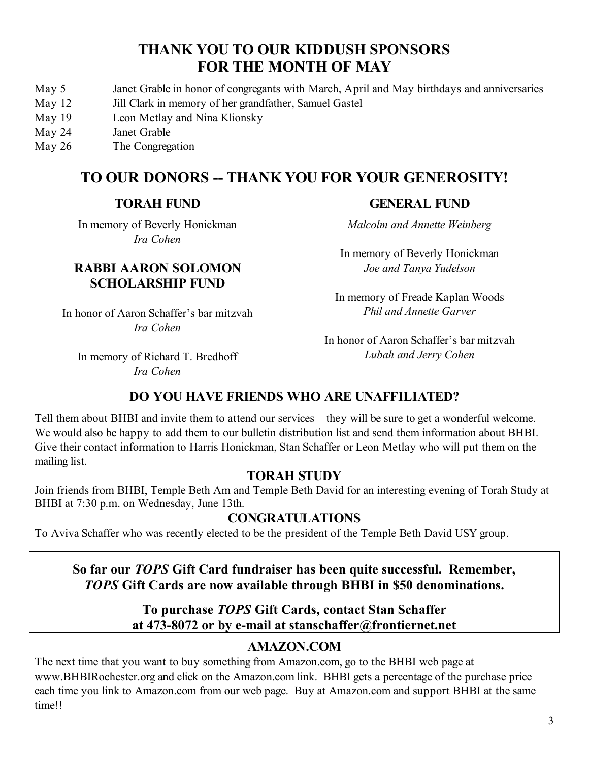## **THANK YOU TO OUR KIDDUSH SPONSORS FOR THE MONTH OF MAY**

- May 5 Janet Grable in honor of congregants with March, April and May birthdays and anniversaries
- May 12 Jill Clark in memory of her grandfather, Samuel Gastel
- May 19 Leon Metlay and Nina Klionsky
- May 24 Janet Grable
- May 26 The Congregation

# **TO OUR DONORS -- THANK YOU FOR YOUR GENEROSITY!**

### **TORAH FUND**

In memory of Beverly Honickman *Ira Cohen*

### **RABBI AARON SOLOMON SCHOLARSHIP FUND**

In honor of Aaron Schaffer's bar mitzvah *Ira Cohen*

*Malcolm and Annette Weinberg*

In memory of Beverly Honickman *Joe and Tanya Yudelson*

**GENERAL FUND**

In memory of Freade Kaplan Woods *Phil and Annette Garver*

In memory of Richard T. Bredhoff *Ira Cohen*

In honor of Aaron Schaffer's bar mitzvah *Lubah and Jerry Cohen*

## **DO YOU HAVE FRIENDS WHO ARE UNAFFILIATED?**

Tell them about BHBI and invite them to attend our services – they will be sure to get a wonderful welcome. We would also be happy to add them to our bulletin distribution list and send them information about BHBI. Give their contact information to Harris Honickman, Stan Schaffer or Leon Metlay who will put them on the mailing list.

## **TORAH STUDY**

Join friends from BHBI, Temple Beth Am and Temple Beth David for an interesting evening of Torah Study at BHBI at 7:30 p.m. on Wednesday, June 13th.

## **CONGRATULATIONS**

To Aviva Schaffer who was recently elected to be the president of the Temple Beth David USY group.

## **So far our** *TOPS* **Gift Card fundraiser has been quite successful. Remember,** *TOPS* **Gift Cards are now available through BHBI in \$50 denominations.**

### **To purchase** *TOPS* **Gift Cards, contact Stan Schaffer at 473-8072 or by e-mail at stanschaffer@frontiernet.net**

## **AMAZON.COM**

The next time that you want to buy something from Amazon.com, go to the BHBI web page at www.BHBIRochester.org and click on the Amazon.com link. BHBI gets a percentage of the purchase price each time you link to Amazon.com from our web page. Buy at Amazon.com and support BHBI at the same time!!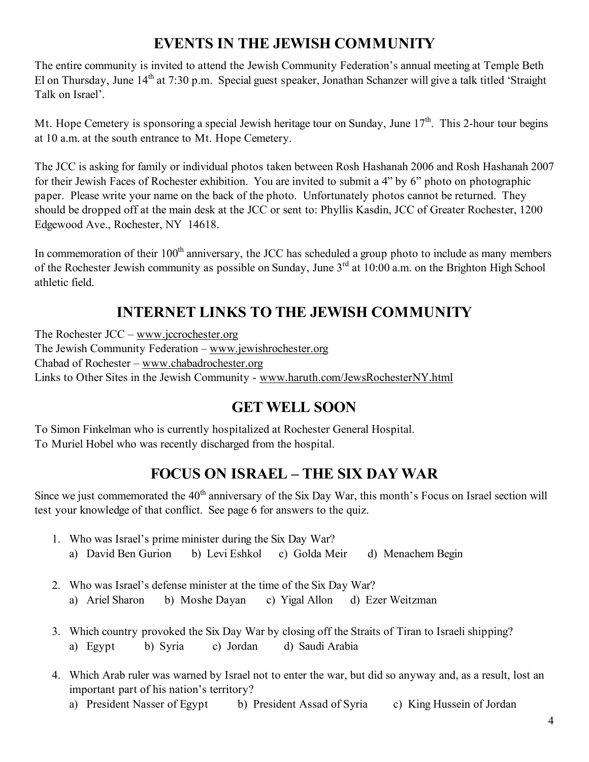# **EVENTS IN THE JEWISH COMMUNITY**

The entire community is invited to attend the Jewish Community Federation's annual meeting at Temple Beth El on Thursday, June 14<sup>th</sup> at 7:30 p.m. Special guest speaker, Jonathan Schanzer will give a talk titled 'Straight Talk on Israel'.

Mt. Hope Cemetery is sponsoring a special Jewish heritage tour on Sunday, June  $17<sup>th</sup>$ . This 2-hour tour begins at 10 a.m. at the south entrance to Mt. Hope Cemetery.

The JCC is asking for family or individual photos taken between Rosh Hashanah 2006 and Rosh Hashanah 2007 for their Jewish Faces of Rochester exhibition. You are invited to submit a 4" by 6" photo on photographic paper. Please write your name on the back of the photo. Unfortunately photos cannot be returned. They should be dropped off at the main desk at the JCC or sent to: Phyllis Kasdin, JCC of Greater Rochester, 1200 Edgewood Ave., Rochester, NY 14618.

In commemoration of their 100<sup>th</sup> anniversary, the JCC has scheduled a group photo to include as many members of the Rochester Jewish community as possible on Sunday, June  $3^{rd}$  at 10:00 a.m. on the Brighton High School athletic field.

# **INTERNET LINKS TO THE JEWISH COMMUNITY**

The Rochester JCC – www.jccrochester.org The Jewish Community Federation – www.jewishrochester.org Chabad of Rochester – www.chabadrochester.org Links to Other Sites in the Jewish Community - www.haruth.com/JewsRochesterNY.html

# **GET WELL SOON**

To Simon Finkelman who is currently hospitalized at Rochester General Hospital. To Muriel Hobel who was recently discharged from the hospital.

# **FOCUS ON ISRAEL – THE SIX DAY WAR**

Since we just commemorated the  $40<sup>th</sup>$  anniversary of the Six Day War, this month's Focus on Israel section will test your knowledge of that conflict. See page 6 for answers to the quiz.

- 1. Who was Israel's prime minister during the Six Day War?
	- a) David Ben Gurion b) Levi Eshkol c) Golda Meir d) Menachem Begin
- 2. Who was Israel's defense minister at the time of the Six Day War? a) Ariel Sharon b) Moshe Dayan c) Yigal Allon d) Ezer Weitzman
- 3. Which country provoked the Six Day War by closing off the Straits of Tiran to Israeli shipping? a) Egypt b) Syria c) Jordan d) Saudi Arabia
- 4. Which Arab ruler was warned by Israel not to enter the war, but did so anyway and, as a result, lost an important part of his nation's territory?
	- a) President Nasser of Egypt b) President Assad of Syria c) King Hussein of Jordan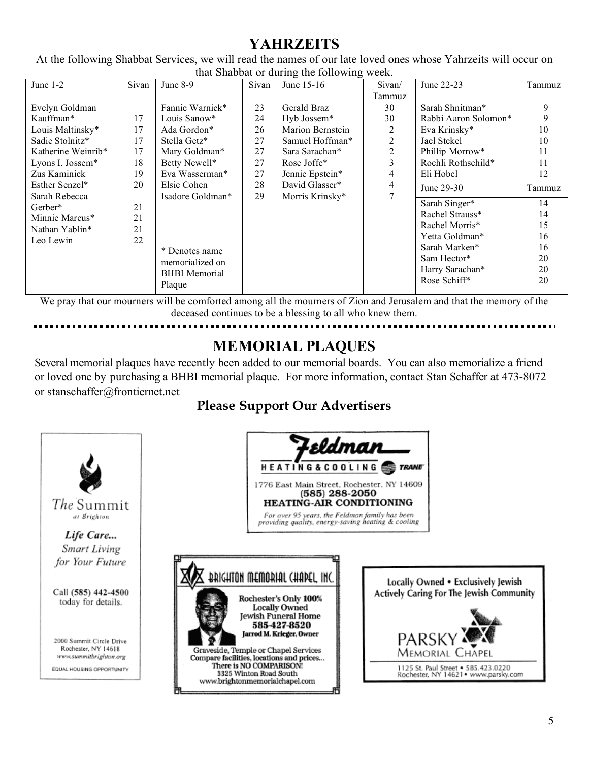# **YAHRZEITS**

At the following Shabbat Services, we will read the names of our late loved ones whose Yahrzeits will occur on that Shabbat or during the following week.

| June 1-2           | Sivan | June 8-9             | Sivan | $\frac{1}{2}$<br>June 15-16 | Sivan/ | June 22-23           | Tammuz |
|--------------------|-------|----------------------|-------|-----------------------------|--------|----------------------|--------|
|                    |       |                      |       |                             | Tammuz |                      |        |
| Evelyn Goldman     |       | Fannie Warnick*      | 23    | Gerald Braz                 | 30     | Sarah Shnitman*      | 9      |
| Kauffman*          | 17    | Louis Sanow*         | 24    | Hyb Jossem*                 | 30     | Rabbi Aaron Solomon* | 9      |
| Louis Maltinsky*   | 17    | Ada Gordon*          | 26    | Marion Bernstein            | 2      | Eva Krinsky*         | 10     |
| Sadie Stolnitz*    | 17    | Stella Getz*         | 27    | Samuel Hoffman*             | 2      | Jael Stekel          | 10     |
| Katherine Weinrib* | 17    | Mary Goldman*        | 27    | Sara Sarachan*              | 2      | Phillip Morrow*      | 11     |
| Lyons I. Jossem*   | 18    | Betty Newell*        | 27    | Rose Joffe*                 | 3      | Rochli Rothschild*   | 11     |
| Zus Kaminick       | 19    | Eva Wasserman*       | 27    | Jennie Epstein*             | 4      | Eli Hobel            | 12     |
| Esther Senzel*     | 20    | Elsie Cohen          | 28    | David Glasser*              | 4      | June 29-30           | Tammuz |
| Sarah Rebecca      |       | Isadore Goldman*     | 29    | Morris Krinsky*             |        |                      |        |
| Gerber*            | 21    |                      |       |                             |        | Sarah Singer*        | 14     |
| Minnie Marcus*     | 21    |                      |       |                             |        | Rachel Strauss*      | 14     |
| Nathan Yablin*     | 21    |                      |       |                             |        | Rachel Morris*       | 15     |
| Leo Lewin          | 22    |                      |       |                             |        | Yetta Goldman*       | 16     |
|                    |       | * Denotes name       |       |                             |        | Sarah Marken*        | 16     |
|                    |       | memorialized on      |       |                             |        | Sam Hector*          | 20     |
|                    |       | <b>BHBI</b> Memorial |       |                             |        | Harry Sarachan*      | 20     |
|                    |       | Plaque               |       |                             |        | Rose Schiff*         | 20     |

We pray that our mourners will be comforted among all the mourners of Zion and Jerusalem and that the memory of the deceased continues to be a blessing to all who knew them.

# **MEMORIAL PLAQUES**

Several memorial plaques have recently been added to our memorial boards. You can also memorialize a friend or loved one by purchasing a BHBI memorial plaque. For more information, contact Stan Schaffer at 473-8072 or stanschaffer@frontiernet.net

# **Please Support Our Advertisers**